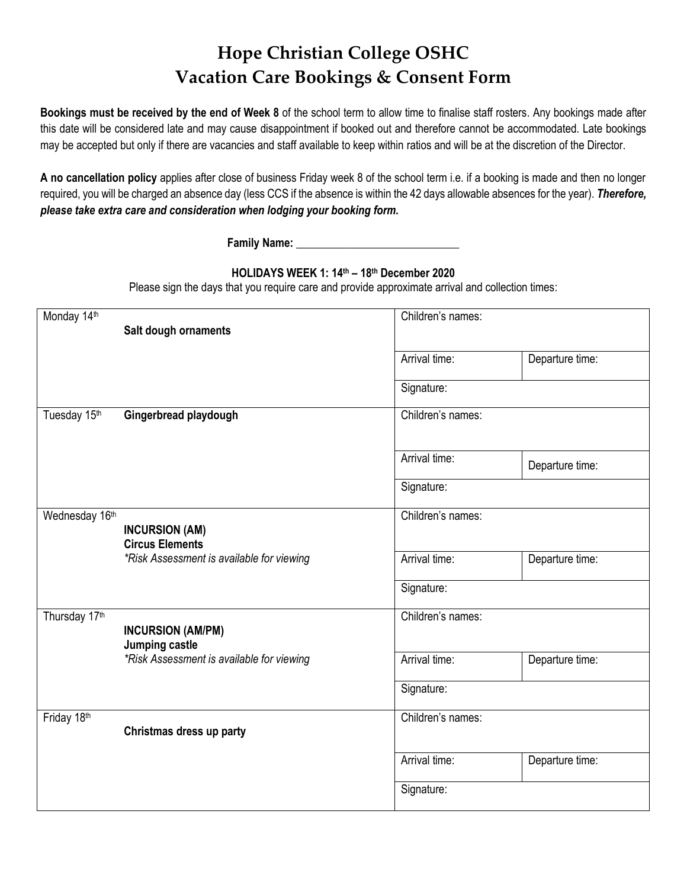# **Hope Christian College OSHC Vacation Care Bookings & Consent Form**

**Bookings must be received by the end of Week 8** of the school term to allow time to finalise staff rosters. Any bookings made after this date will be considered late and may cause disappointment if booked out and therefore cannot be accommodated. Late bookings may be accepted but only if there are vacancies and staff available to keep within ratios and will be at the discretion of the Director.

**A no cancellation policy** applies after close of business Friday week 8 of the school term i.e. if a booking is made and then no longer required, you will be charged an absence day (less CCS if the absence is within the 42 days allowable absences for the year). *Therefore, please take extra care and consideration when lodging your booking form.*

**Family Name:** \_\_\_\_\_\_\_\_\_\_\_\_\_\_\_\_\_\_\_\_\_\_\_\_\_\_\_\_\_

## **HOLIDAYS WEEK 1: 14th – 18 th December 2020**

Please sign the days that you require care and provide approximate arrival and collection times:

| Monday 14th    | Salt dough ornaments                            | Children's names: |                   |  |
|----------------|-------------------------------------------------|-------------------|-------------------|--|
|                |                                                 | Arrival time:     | Departure time:   |  |
|                |                                                 | Signature:        |                   |  |
| Tuesday 15th   | Gingerbread playdough                           | Children's names: |                   |  |
|                |                                                 | Arrival time:     | Departure time:   |  |
|                |                                                 | Signature:        |                   |  |
| Wednesday 16th | <b>INCURSION (AM)</b><br><b>Circus Elements</b> | Children's names: |                   |  |
|                | *Risk Assessment is available for viewing       | Arrival time:     | Departure time:   |  |
|                |                                                 | Signature:        |                   |  |
| Thursday 17th  | <b>INCURSION (AM/PM)</b><br>Jumping castle      |                   | Children's names: |  |
|                | *Risk Assessment is available for viewing       | Arrival time:     | Departure time:   |  |
|                |                                                 | Signature:        |                   |  |
| Friday 18th    | Christmas dress up party                        | Children's names: |                   |  |
|                |                                                 | Arrival time:     | Departure time:   |  |
|                |                                                 | Signature:        |                   |  |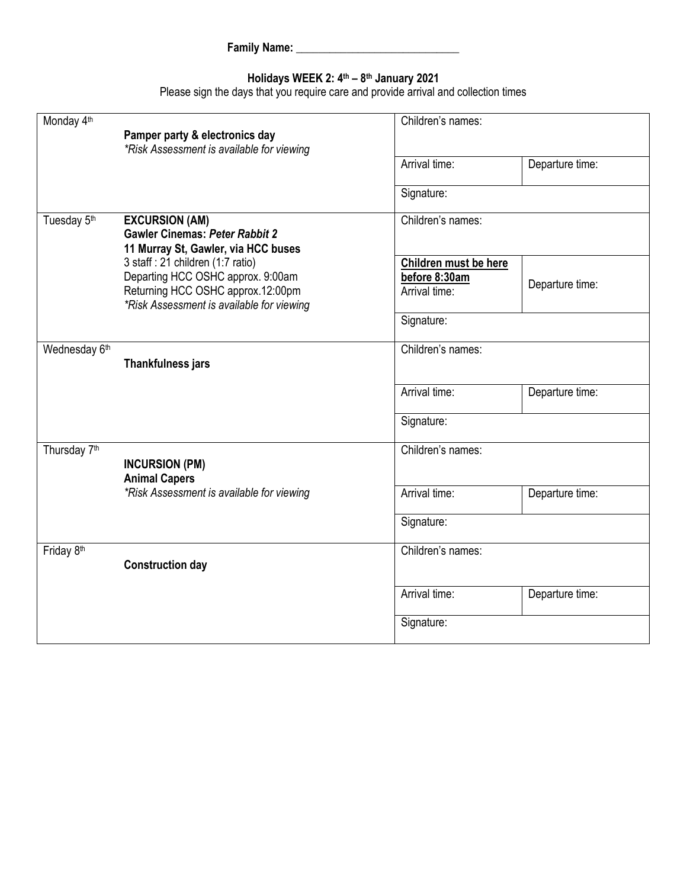## **Holidays WEEK 2: 4 th – 8 th January 2021**

Please sign the days that you require care and provide arrival and collection times

| Monday 4 <sup>th</sup>                                                                                                           | Pamper party & electronics day<br>*Risk Assessment is available for viewing    | Children's names:     |                 |
|----------------------------------------------------------------------------------------------------------------------------------|--------------------------------------------------------------------------------|-----------------------|-----------------|
|                                                                                                                                  |                                                                                | Arrival time:         | Departure time: |
|                                                                                                                                  |                                                                                | Signature:            |                 |
| Tuesday 5 <sup>th</sup><br><b>EXCURSION (AM)</b><br><b>Gawler Cinemas: Peter Rabbit 2</b><br>11 Murray St, Gawler, via HCC buses |                                                                                | Children's names:     |                 |
|                                                                                                                                  | 3 staff : 21 children (1:7 ratio)                                              | Children must be here |                 |
|                                                                                                                                  | Departing HCC OSHC approx. 9:00am                                              | before 8:30am         |                 |
|                                                                                                                                  | Returning HCC OSHC approx.12:00pm<br>*Risk Assessment is available for viewing | Arrival time:         | Departure time: |
|                                                                                                                                  |                                                                                | Signature:            |                 |
| Wednesday 6th                                                                                                                    | <b>Thankfulness jars</b>                                                       | Children's names:     |                 |
|                                                                                                                                  |                                                                                | Arrival time:         | Departure time: |
|                                                                                                                                  |                                                                                | Signature:            |                 |
| Thursday 7 <sup>th</sup>                                                                                                         | <b>INCURSION (PM)</b><br><b>Animal Capers</b>                                  | Children's names:     |                 |
|                                                                                                                                  | *Risk Assessment is available for viewing                                      | Arrival time:         | Departure time: |
|                                                                                                                                  |                                                                                | Signature:            |                 |
| Friday 8th                                                                                                                       | <b>Construction day</b>                                                        | Children's names:     |                 |
|                                                                                                                                  |                                                                                | Arrival time:         | Departure time: |
|                                                                                                                                  |                                                                                | Signature:            |                 |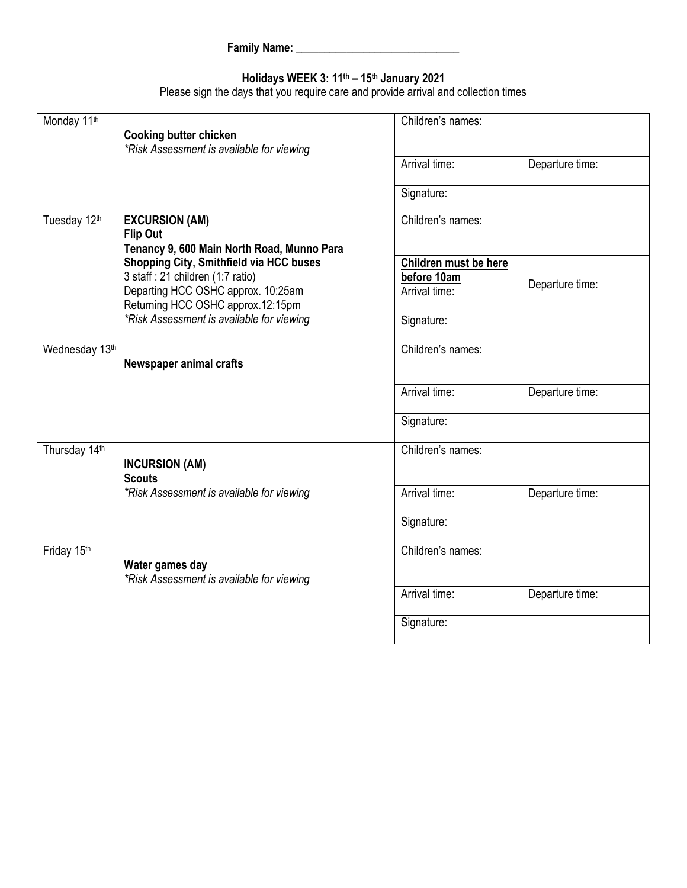### **Holidays WEEK 3: 11th – 15th January 2021**

Please sign the days that you require care and provide arrival and collection times

| Monday 11 <sup>th</sup> | <b>Cooking butter chicken</b><br>*Risk Assessment is available for viewing                                                                                                                           | Children's names:                                                   |                 |
|-------------------------|------------------------------------------------------------------------------------------------------------------------------------------------------------------------------------------------------|---------------------------------------------------------------------|-----------------|
|                         |                                                                                                                                                                                                      | Arrival time:                                                       | Departure time: |
|                         |                                                                                                                                                                                                      | Signature:                                                          |                 |
| Tuesday 12th            | <b>EXCURSION (AM)</b><br><b>Flip Out</b><br>Tenancy 9, 600 Main North Road, Munno Para                                                                                                               | Children's names:                                                   |                 |
|                         | Shopping City, Smithfield via HCC buses<br>3 staff : 21 children (1:7 ratio)<br>Departing HCC OSHC approx. 10:25am<br>Returning HCC OSHC approx.12:15pm<br>*Risk Assessment is available for viewing | Children must be here<br>before 10am<br>Arrival time:<br>Signature: | Departure time: |
| Wednesday 13th          | Newspaper animal crafts                                                                                                                                                                              | Children's names:                                                   |                 |
|                         |                                                                                                                                                                                                      | Arrival time:                                                       | Departure time: |
|                         |                                                                                                                                                                                                      | Signature:                                                          |                 |
| Thursday 14th           | <b>INCURSION (AM)</b><br><b>Scouts</b>                                                                                                                                                               | Children's names:                                                   |                 |
|                         | *Risk Assessment is available for viewing                                                                                                                                                            | Arrival time:                                                       | Departure time: |
|                         |                                                                                                                                                                                                      | Signature:                                                          |                 |
| Friday 15th             | Water games day<br>*Risk Assessment is available for viewing                                                                                                                                         | Children's names:                                                   |                 |
|                         |                                                                                                                                                                                                      | Arrival time:                                                       | Departure time: |
|                         |                                                                                                                                                                                                      | Signature:                                                          |                 |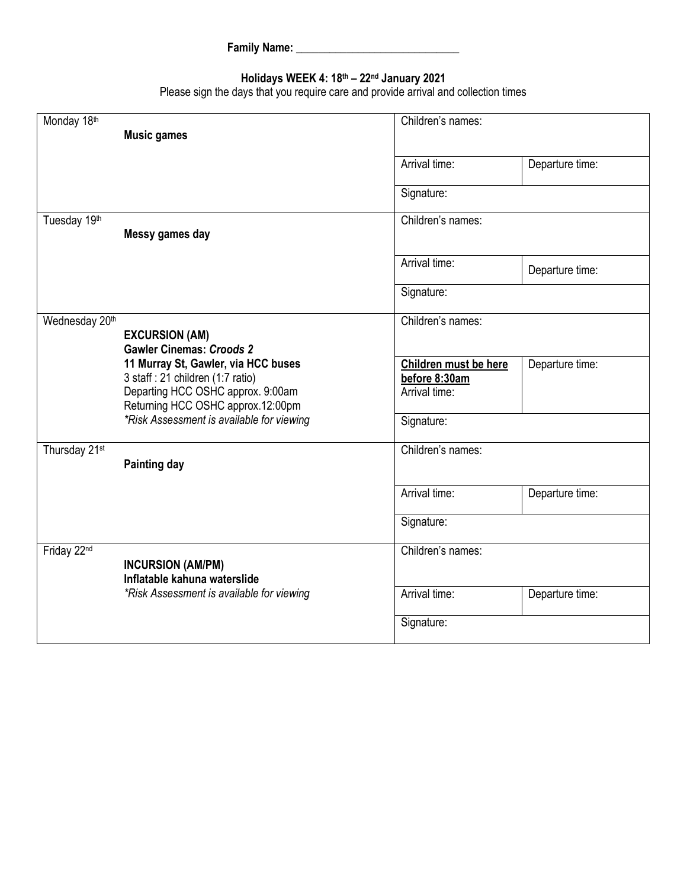## **Holidays WEEK 4: 18th – 22nd January 2021**

Please sign the days that you require care and provide arrival and collection times

| Monday 18th    |                                                                                                                                                    | Children's names:                                       |                 |
|----------------|----------------------------------------------------------------------------------------------------------------------------------------------------|---------------------------------------------------------|-----------------|
|                | <b>Music games</b>                                                                                                                                 |                                                         |                 |
|                |                                                                                                                                                    |                                                         |                 |
|                |                                                                                                                                                    | Arrival time:                                           | Departure time: |
|                |                                                                                                                                                    | Signature:                                              |                 |
| Tuesday 19th   | Messy games day                                                                                                                                    | Children's names:                                       |                 |
|                |                                                                                                                                                    | Arrival time:                                           | Departure time: |
|                |                                                                                                                                                    | Signature:                                              |                 |
| Wednesday 20th | <b>EXCURSION (AM)</b><br><b>Gawler Cinemas: Croods 2</b>                                                                                           | Children's names:                                       |                 |
|                | 11 Murray St, Gawler, via HCC buses<br>3 staff : 21 children (1:7 ratio)<br>Departing HCC OSHC approx. 9:00am<br>Returning HCC OSHC approx.12:00pm | Children must be here<br>before 8:30am<br>Arrival time: | Departure time: |
|                | *Risk Assessment is available for viewing                                                                                                          | Signature:                                              |                 |
| Thursday 21st  | <b>Painting day</b>                                                                                                                                | Children's names:                                       |                 |
|                |                                                                                                                                                    | Arrival time:                                           | Departure time: |
|                |                                                                                                                                                    | Signature:                                              |                 |
| Friday 22nd    | <b>INCURSION (AM/PM)</b><br>Inflatable kahuna waterslide                                                                                           | Children's names:                                       |                 |
|                | *Risk Assessment is available for viewing                                                                                                          | Arrival time:                                           | Departure time: |
|                |                                                                                                                                                    | Signature:                                              |                 |